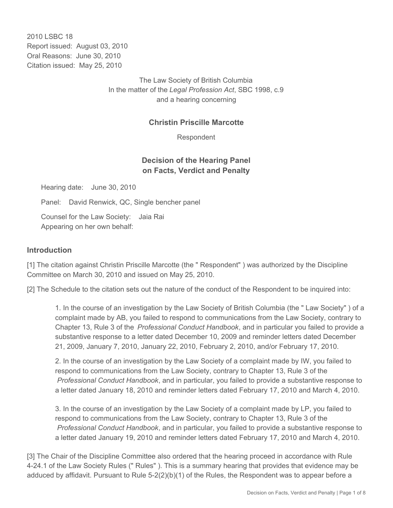2010 LSBC 18 Report issued: August 03, 2010 Oral Reasons: June 30, 2010 Citation issued: May 25, 2010

> The Law Society of British Columbia In the matter of the *Legal Profession Act*, SBC 1998, c.9 and a hearing concerning

### **Christin Priscille Marcotte**

Respondent

### **Decision of the Hearing Panel on Facts, Verdict and Penalty**

Hearing date: June 30, 2010

Panel: David Renwick, QC, Single bencher panel

Counsel for the Law Society: Jaia Rai Appearing on her own behalf:

#### **Introduction**

[1] The citation against Christin Priscille Marcotte (the " Respondent") was authorized by the Discipline Committee on March 30, 2010 and issued on May 25, 2010.

[2] The Schedule to the citation sets out the nature of the conduct of the Respondent to be inquired into:

1. In the course of an investigation by the Law Society of British Columbia (the " Law Society" ) of a complaint made by AB, you failed to respond to communications from the Law Society, contrary to Chapter 13, Rule 3 of the *Professional Conduct Handbook*, and in particular you failed to provide a substantive response to a letter dated December 10, 2009 and reminder letters dated December 21, 2009, January 7, 2010, January 22, 2010, February 2, 2010, and/or February 17, 2010.

2. In the course of an investigation by the Law Society of a complaint made by IW, you failed to respond to communications from the Law Society, contrary to Chapter 13, Rule 3 of the *Professional Conduct Handbook*, and in particular, you failed to provide a substantive response to a letter dated January 18, 2010 and reminder letters dated February 17, 2010 and March 4, 2010.

3. In the course of an investigation by the Law Society of a complaint made by LP, you failed to respond to communications from the Law Society, contrary to Chapter 13, Rule 3 of the *Professional Conduct Handbook*, and in particular, you failed to provide a substantive response to a letter dated January 19, 2010 and reminder letters dated February 17, 2010 and March 4, 2010.

[3] The Chair of the Discipline Committee also ordered that the hearing proceed in accordance with Rule 4-24.1 of the Law Society Rules (" Rules" ). This is a summary hearing that provides that evidence may be adduced by affidavit. Pursuant to Rule 5-2(2)(b)(1) of the Rules, the Respondent was to appear before a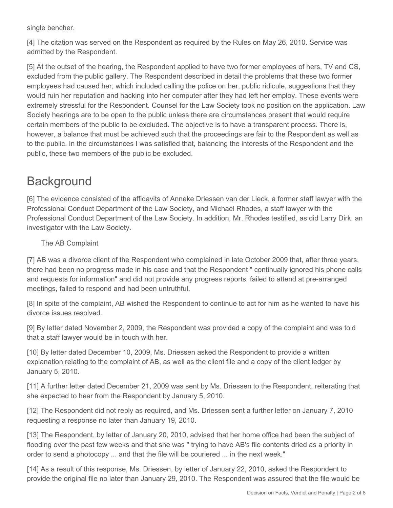single bencher.

[4] The citation was served on the Respondent as required by the Rules on May 26, 2010. Service was admitted by the Respondent.

[5] At the outset of the hearing, the Respondent applied to have two former employees of hers, TV and CS, excluded from the public gallery. The Respondent described in detail the problems that these two former employees had caused her, which included calling the police on her, public ridicule, suggestions that they would ruin her reputation and hacking into her computer after they had left her employ. These events were extremely stressful for the Respondent. Counsel for the Law Society took no position on the application. Law Society hearings are to be open to the public unless there are circumstances present that would require certain members of the public to be excluded. The objective is to have a transparent process. There is, however, a balance that must be achieved such that the proceedings are fair to the Respondent as well as to the public. In the circumstances I was satisfied that, balancing the interests of the Respondent and the public, these two members of the public be excluded.

# **Background**

[6] The evidence consisted of the affidavits of Anneke Driessen van der Lieck, a former staff lawyer with the Professional Conduct Department of the Law Society, and Michael Rhodes, a staff lawyer with the Professional Conduct Department of the Law Society. In addition, Mr. Rhodes testified, as did Larry Dirk, an investigator with the Law Society.

The AB Complaint

[7] AB was a divorce client of the Respondent who complained in late October 2009 that, after three years, there had been no progress made in his case and that the Respondent " continually ignored his phone calls and requests for information" and did not provide any progress reports, failed to attend at pre-arranged meetings, failed to respond and had been untruthful.

[8] In spite of the complaint, AB wished the Respondent to continue to act for him as he wanted to have his divorce issues resolved.

[9] By letter dated November 2, 2009, the Respondent was provided a copy of the complaint and was told that a staff lawyer would be in touch with her.

[10] By letter dated December 10, 2009, Ms. Driessen asked the Respondent to provide a written explanation relating to the complaint of AB, as well as the client file and a copy of the client ledger by January 5, 2010.

[11] A further letter dated December 21, 2009 was sent by Ms. Driessen to the Respondent, reiterating that she expected to hear from the Respondent by January 5, 2010.

[12] The Respondent did not reply as required, and Ms. Driessen sent a further letter on January 7, 2010 requesting a response no later than January 19, 2010.

[13] The Respondent, by letter of January 20, 2010, advised that her home office had been the subject of flooding over the past few weeks and that she was " trying to have AB's file contents dried as a priority in order to send a photocopy ... and that the file will be couriered ... in the next week."

[14] As a result of this response, Ms. Driessen, by letter of January 22, 2010, asked the Respondent to provide the original file no later than January 29, 2010. The Respondent was assured that the file would be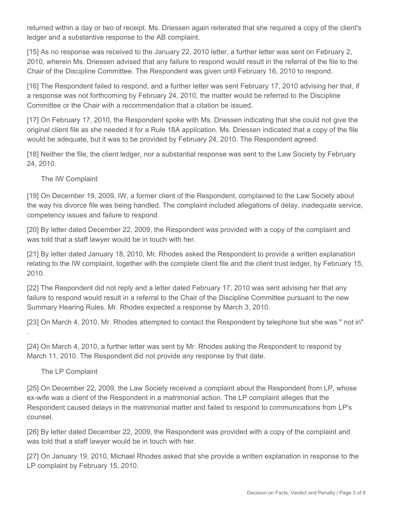returned within a day or two of receipt. Ms. Driessen again reiterated that she required a copy of the client's ledger and a substantive response to the AB complaint.

[15] As no response was received to the January 22, 2010 letter, a further letter was sent on February 2, 2010, wherein Ms. Driessen advised that any failure to respond would result in the referral of the file to the Chair of the Discipline Committee. The Respondent was given until February 16, 2010 to respond.

[16] The Respondent failed to respond, and a further letter was sent February 17, 2010 advising her that, if a response was not forthcoming by February 24, 2010, the matter would be referred to the Discipline Committee or the Chair with a recommendation that a citation be issued.

[17] On February 17, 2010, the Respondent spoke with Ms. Driessen indicating that she could not give the original client file as she needed it for a Rule 18A application. Ms. Driessen indicated that a copy of the file would be adequate, but it was to be provided by February 24, 2010. The Respondent agreed.

[18] Neither the file, the client ledger, nor a substantial response was sent to the Law Society by February 24, 2010.

The IW Complaint

[19] On December 19, 2009, IW, a former client of the Respondent, complained to the Law Society about the way his divorce file was being handled. The complaint included allegations of delay, inadequate service, competency issues and failure to respond.

[20] By letter dated December 22, 2009, the Respondent was provided with a copy of the complaint and was told that a staff lawyer would be in touch with her.

[21] By letter dated January 18, 2010, Mr. Rhodes asked the Respondent to provide a written explanation relating to the IW complaint, together with the complete client file and the client trust ledger, by February 15, 2010.

[22] The Respondent did not reply and a letter dated February 17, 2010 was sent advising her that any failure to respond would result in a referral to the Chair of the Discipline Committee pursuant to the new Summary Hearing Rules. Mr. Rhodes expected a response by March 3, 2010.

[23] On March 4, 2010, Mr. Rhodes attempted to contact the Respondent by telephone but she was " not in"

[24] On March 4, 2010, a further letter was sent by Mr. Rhodes asking the Respondent to respond by March 11, 2010. The Respondent did not provide any response by that date.

The LP Complaint

.

[25] On December 22, 2009, the Law Society received a complaint about the Respondent from LP, whose ex-wife was a client of the Respondent in a matrimonial action. The LP complaint alleges that the Respondent caused delays in the matrimonial matter and failed to respond to communications from LP's counsel.

[26] By letter dated December 22, 2009, the Respondent was provided with a copy of the complaint and was told that a staff lawyer would be in touch with her.

[27] On January 19, 2010, Michael Rhodes asked that she provide a written explanation in response to the LP complaint by February 15, 2010.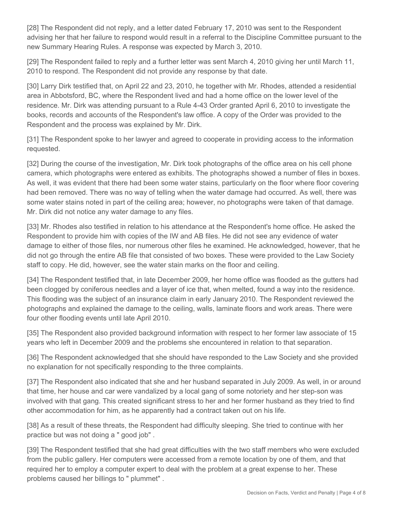[28] The Respondent did not reply, and a letter dated February 17, 2010 was sent to the Respondent advising her that her failure to respond would result in a referral to the Discipline Committee pursuant to the new Summary Hearing Rules. A response was expected by March 3, 2010.

[29] The Respondent failed to reply and a further letter was sent March 4, 2010 giving her until March 11, 2010 to respond. The Respondent did not provide any response by that date.

[30] Larry Dirk testified that, on April 22 and 23, 2010, he together with Mr. Rhodes, attended a residential area in Abbotsford, BC, where the Respondent lived and had a home office on the lower level of the residence. Mr. Dirk was attending pursuant to a Rule 4-43 Order granted April 6, 2010 to investigate the books, records and accounts of the Respondent's law office. A copy of the Order was provided to the Respondent and the process was explained by Mr. Dirk.

[31] The Respondent spoke to her lawyer and agreed to cooperate in providing access to the information requested.

[32] During the course of the investigation, Mr. Dirk took photographs of the office area on his cell phone camera, which photographs were entered as exhibits. The photographs showed a number of files in boxes. As well, it was evident that there had been some water stains, particularly on the floor where floor covering had been removed. There was no way of telling when the water damage had occurred. As well, there was some water stains noted in part of the ceiling area; however, no photographs were taken of that damage. Mr. Dirk did not notice any water damage to any files.

[33] Mr. Rhodes also testified in relation to his attendance at the Respondent's home office. He asked the Respondent to provide him with copies of the IW and AB files. He did not see any evidence of water damage to either of those files, nor numerous other files he examined. He acknowledged, however, that he did not go through the entire AB file that consisted of two boxes. These were provided to the Law Society staff to copy. He did, however, see the water stain marks on the floor and ceiling.

[34] The Respondent testified that, in late December 2009, her home office was flooded as the gutters had been clogged by coniferous needles and a layer of ice that, when melted, found a way into the residence. This flooding was the subject of an insurance claim in early January 2010. The Respondent reviewed the photographs and explained the damage to the ceiling, walls, laminate floors and work areas. There were four other flooding events until late April 2010.

[35] The Respondent also provided background information with respect to her former law associate of 15 years who left in December 2009 and the problems she encountered in relation to that separation.

[36] The Respondent acknowledged that she should have responded to the Law Society and she provided no explanation for not specifically responding to the three complaints.

[37] The Respondent also indicated that she and her husband separated in July 2009. As well, in or around that time, her house and car were vandalized by a local gang of some notoriety and her step-son was involved with that gang. This created significant stress to her and her former husband as they tried to find other accommodation for him, as he apparently had a contract taken out on his life.

[38] As a result of these threats, the Respondent had difficulty sleeping. She tried to continue with her practice but was not doing a " good job" .

[39] The Respondent testified that she had great difficulties with the two staff members who were excluded from the public gallery. Her computers were accessed from a remote location by one of them, and that required her to employ a computer expert to deal with the problem at a great expense to her. These problems caused her billings to " plummet" .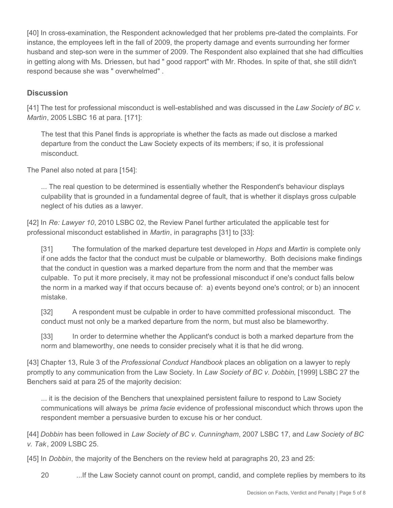[40] In cross-examination, the Respondent acknowledged that her problems pre-dated the complaints. For instance, the employees left in the fall of 2009, the property damage and events surrounding her former husband and step-son were in the summer of 2009. The Respondent also explained that she had difficulties in getting along with Ms. Driessen, but had " good rapport" with Mr. Rhodes. In spite of that, she still didn't respond because she was " overwhelmed" .

### **Discussion**

[41] The test for professional misconduct is well-established and was discussed in the *Law Society of BC v. Martin*, 2005 LSBC 16 at para. [171]:

The test that this Panel finds is appropriate is whether the facts as made out disclose a marked departure from the conduct the Law Society expects of its members; if so, it is professional misconduct.

The Panel also noted at para [154]:

... The real question to be determined is essentially whether the Respondent's behaviour displays culpability that is grounded in a fundamental degree of fault, that is whether it displays gross culpable neglect of his duties as a lawyer.

[42] In *Re: Lawyer 10*, 2010 LSBC 02, the Review Panel further articulated the applicable test for professional misconduct established in *Martin*, in paragraphs [31] to [33]:

[31] The formulation of the marked departure test developed in *Hops* and *Martin* is complete only if one adds the factor that the conduct must be culpable or blameworthy. Both decisions make findings that the conduct in question was a marked departure from the norm and that the member was culpable. To put it more precisely, it may not be professional misconduct if one's conduct falls below the norm in a marked way if that occurs because of: a) events beyond one's control; or b) an innocent mistake.

[32] A respondent must be culpable in order to have committed professional misconduct. The conduct must not only be a marked departure from the norm, but must also be blameworthy.

[33] In order to determine whether the Applicant's conduct is both a marked departure from the norm and blameworthy, one needs to consider precisely what it is that he did wrong.

[43] Chapter 13, Rule 3 of the *Professional Conduct Handbook* places an obligation on a lawyer to reply promptly to any communication from the Law Society. In *Law Society of BC v. Dobbin*, [1999] LSBC 27 the Benchers said at para 25 of the majority decision:

... it is the decision of the Benchers that unexplained persistent failure to respond to Law Society communications will always be *prima facie* evidence of professional misconduct which throws upon the respondent member a persuasive burden to excuse his or her conduct.

[44] *Dobbin* has been followed in *Law Society of BC v. Cunningham*, 2007 LSBC 17, and *Law Society of BC v. Tak*, 2009 LSBC 25.

[45] In *Dobbin*, the majority of the Benchers on the review held at paragraphs 20, 23 and 25:

20 .... If the Law Society cannot count on prompt, candid, and complete replies by members to its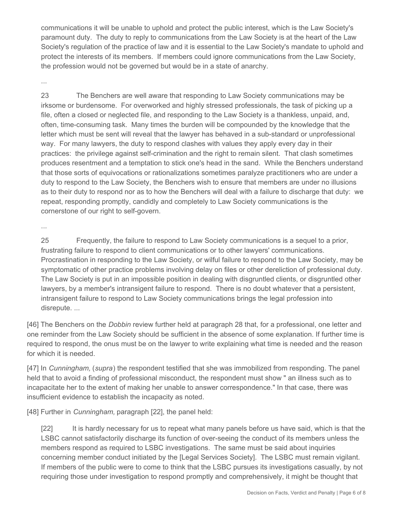communications it will be unable to uphold and protect the public interest, which is the Law Society's paramount duty. The duty to reply to communications from the Law Society is at the heart of the Law Society's regulation of the practice of law and it is essential to the Law Society's mandate to uphold and protect the interests of its members. If members could ignore communications from the Law Society, the profession would not be governed but would be in a state of anarchy.

...

23 The Benchers are well aware that responding to Law Society communications may be irksome or burdensome. For overworked and highly stressed professionals, the task of picking up a file, often a closed or neglected file, and responding to the Law Society is a thankless, unpaid, and, often, time-consuming task. Many times the burden will be compounded by the knowledge that the letter which must be sent will reveal that the lawyer has behaved in a sub-standard or unprofessional way. For many lawyers, the duty to respond clashes with values they apply every day in their practices: the privilege against self-crimination and the right to remain silent. That clash sometimes produces resentment and a temptation to stick one's head in the sand. While the Benchers understand that those sorts of equivocations or rationalizations sometimes paralyze practitioners who are under a duty to respond to the Law Society, the Benchers wish to ensure that members are under no illusions as to their duty to respond nor as to how the Benchers will deal with a failure to discharge that duty: we repeat, responding promptly, candidly and completely to Law Society communications is the cornerstone of our right to self-govern.

...

25 Frequently, the failure to respond to Law Society communications is a sequel to a prior, frustrating failure to respond to client communications or to other lawyers' communications. Procrastination in responding to the Law Society, or wilful failure to respond to the Law Society, may be symptomatic of other practice problems involving delay on files or other dereliction of professional duty. The Law Society is put in an impossible position in dealing with disgruntled clients, or disgruntled other lawyers, by a member's intransigent failure to respond. There is no doubt whatever that a persistent, intransigent failure to respond to Law Society communications brings the legal profession into disrepute. ...

[46] The Benchers on the *Dobbin* review further held at paragraph 28 that, for a professional, one letter and one reminder from the Law Society should be sufficient in the absence of some explanation. If further time is required to respond, the onus must be on the lawyer to write explaining what time is needed and the reason for which it is needed.

[47] In *Cunningham,* (*supra*) the respondent testified that she was immobilized from responding. The panel held that to avoid a finding of professional misconduct, the respondent must show " an illness such as to incapacitate her to the extent of making her unable to answer correspondence." In that case, there was insufficient evidence to establish the incapacity as noted.

[48] Further in *Cunningham,* paragraph [22], the panel held:

[22] It is hardly necessary for us to repeat what many panels before us have said, which is that the LSBC cannot satisfactorily discharge its function of over-seeing the conduct of its members unless the members respond as required to LSBC investigations. The same must be said about inquiries concerning member conduct initiated by the [Legal Services Society]. The LSBC must remain vigilant. If members of the public were to come to think that the LSBC pursues its investigations casually, by not requiring those under investigation to respond promptly and comprehensively, it might be thought that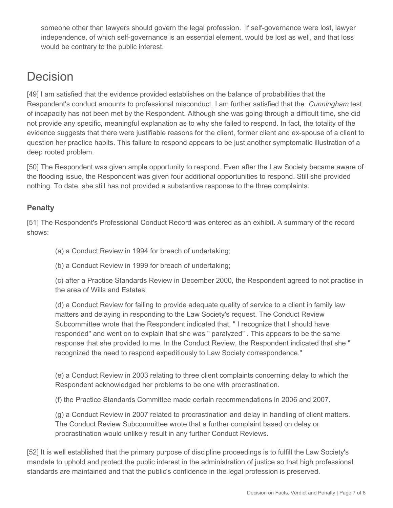someone other than lawyers should govern the legal profession. If self-governance were lost, lawyer independence, of which self-governance is an essential element, would be lost as well, and that loss would be contrary to the public interest.

## **Decision**

[49] I am satisfied that the evidence provided establishes on the balance of probabilities that the Respondent's conduct amounts to professional misconduct. I am further satisfied that the *Cunningham* test of incapacity has not been met by the Respondent. Although she was going through a difficult time, she did not provide any specific, meaningful explanation as to why she failed to respond. In fact, the totality of the evidence suggests that there were justifiable reasons for the client, former client and ex-spouse of a client to question her practice habits. This failure to respond appears to be just another symptomatic illustration of a deep rooted problem.

[50] The Respondent was given ample opportunity to respond. Even after the Law Society became aware of the flooding issue, the Respondent was given four additional opportunities to respond. Still she provided nothing. To date, she still has not provided a substantive response to the three complaints.

## **Penalty**

[51] The Respondent's Professional Conduct Record was entered as an exhibit. A summary of the record shows:

(a) a Conduct Review in 1994 for breach of undertaking;

(b) a Conduct Review in 1999 for breach of undertaking;

(c) after a Practice Standards Review in December 2000, the Respondent agreed to not practise in the area of Wills and Estates;

(d) a Conduct Review for failing to provide adequate quality of service to a client in family law matters and delaying in responding to the Law Society's request. The Conduct Review Subcommittee wrote that the Respondent indicated that, " I recognize that I should have responded" and went on to explain that she was " paralyzed" . This appears to be the same response that she provided to me. In the Conduct Review, the Respondent indicated that she " recognized the need to respond expeditiously to Law Society correspondence."

(e) a Conduct Review in 2003 relating to three client complaints concerning delay to which the Respondent acknowledged her problems to be one with procrastination.

(f) the Practice Standards Committee made certain recommendations in 2006 and 2007.

(g) a Conduct Review in 2007 related to procrastination and delay in handling of client matters. The Conduct Review Subcommittee wrote that a further complaint based on delay or procrastination would unlikely result in any further Conduct Reviews.

[52] It is well established that the primary purpose of discipline proceedings is to fulfill the Law Society's mandate to uphold and protect the public interest in the administration of justice so that high professional standards are maintained and that the public's confidence in the legal profession is preserved.